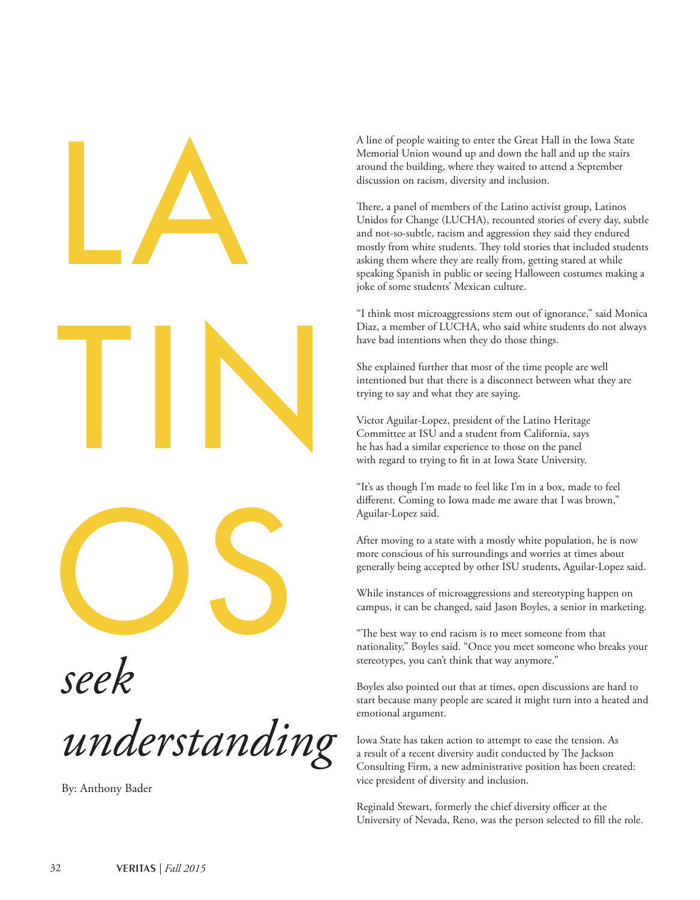

*seek* 

*understanding*

By: Anthony Bader

A line of people waiting to enter the Great Hall in the Iowa State Memorial Union wound up and down the hall and up the stairs around the building, where they waited to attend a September discussion on racism, diversity and inclusion.

There, a panel of members of the Latino activist group, Latinos Unidos for Change (LUCHA), recounted stories of every day, subtle and not-so-subtle, racism and aggression they said they endured mostly from white students. They told stories that included students asking them where they are really from, getting stared at while speaking Spanish in public or seeing Halloween costumes making a joke of some students' Mexican culture.

"I think most microaggressions stem out of ignorance," said Monica Diaz, a member of LUCHA, who said white students do not always have bad intentions when they do those things.

She explained further that most of the time people are well intentioned but that there is a disconnect between what they are trying to say and what they are saying.

Victor Aguilar-Lopez, president of the Latino Heritage Committee at ISU and a student from California, says he has had a similar experience to those on the panel with regard to trying to fit in at Iowa State University.

"It's as though I'm made to feel like I'm in a box, made to feel different. Coming to Iowa made me aware that I was brown," Aguilar-Lopez said.

After moving to a state with a mostly white population, he is now more conscious of his surroundings and worries at times about generally being accepted by other ISU students, Aguilar-Lopez said.

While instances of microaggressions and stereotyping happen on campus, it can be changed, said Jason Boyles, a senior in marketing.

"The best way to end racism is to meet someone from that nationality," Boyles said. "Once you meet someone who breaks your stereotypes, you can't think that way anymore."

Boyles also pointed out that at times, open discussions are hard to start because many people are scared it might turn into a heated and emotional argument.

Iowa State has taken action to attempt to ease the tension. As a result of a recent diversity audit conducted by The Jackson Consulting Firm, a new administrative position has been created: vice president of diversity and inclusion.

Reginald Stewart, formerly the chief diversity officer at the University of Nevada, Reno, was the person selected to fill the role.